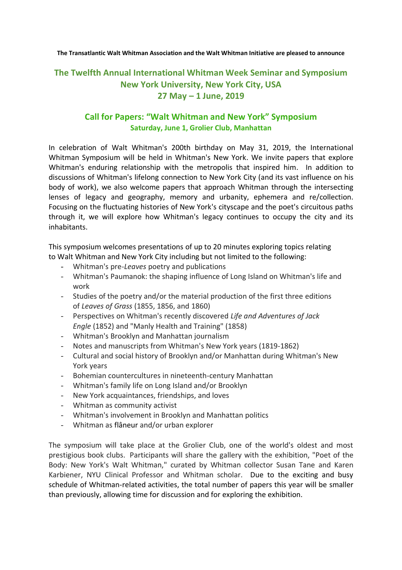**The Transatlantic Walt Whitman Association and the Walt Whitman Initiative are pleased to announce**

# **The Twelfth Annual International Whitman Week Seminar and Symposium New York University, New York City, USA 27 May – 1 June, 2019**

## **Call for Papers: "Walt Whitman and New York" Symposium Saturday, June 1, Grolier Club, Manhattan**

In celebration of Walt Whitman's 200th birthday on May 31, 2019, the International Whitman Symposium will be held in Whitman's New York. We invite papers that explore Whitman's enduring relationship with the metropolis that inspired him. In addition to discussions of Whitman's lifelong connection to New York City (and its vast influence on his body of work), we also welcome papers that approach Whitman through the intersecting lenses of legacy and geography, memory and urbanity, ephemera and re/collection. Focusing on the fluctuating histories of New York's cityscape and the poet's circuitous paths through it, we will explore how Whitman's legacy continues to occupy the city and its inhabitants.

This symposium welcomes presentations of up to 20 minutes exploring topics relating to Walt Whitman and New York City including but not limited to the following:

- Whitman's pre-*Leaves* poetry and publications
- Whitman's Paumanok: the shaping influence of Long Island on Whitman's life and work
- Studies of the poetry and/or the material production of the first three editions of *Leaves of Grass* (1855, 1856, and 1860)
- Perspectives on Whitman's recently discovered *Life and Adventures of Jack Engle* (1852) and "Manly Health and Training" (1858)
- Whitman's Brooklyn and Manhattan journalism
- Notes and manuscripts from Whitman's New York years (1819-1862)
- Cultural and social history of Brooklyn and/or Manhattan during Whitman's New York years
- Bohemian countercultures in nineteenth-century Manhattan
- Whitman's family life on Long Island and/or Brooklyn
- New York acquaintances, friendships, and loves
- Whitman as community activist
- Whitman's involvement in Brooklyn and Manhattan politics
- Whitman as flâneur and/or urban explorer

The symposium will take place at the Grolier Club, one of the world's oldest and most prestigious book clubs. Participants will share the gallery with the exhibition, "Poet of the Body: New York's Walt Whitman," curated by Whitman collector Susan Tane and Karen Karbiener, NYU Clinical Professor and Whitman scholar. Due to the exciting and busy schedule of Whitman-related activities, the total number of papers this year will be smaller than previously, allowing time for discussion and for exploring the exhibition.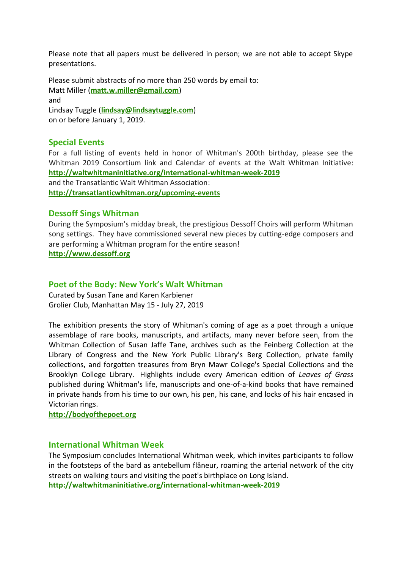Please note that all papers must be delivered in person; we are not able to accept Skype presentations.

Please submit abstracts of no more than 250 words by email to: Matt Miller (**[matt.w.miller@gmail.com](mailto:%20matt.w.miller@gmail.com)**) and Lindsay Tuggle (**[lindsay@lindsaytuggle.com](mailto:%20lindsay@lindsaytuggle.com)**) on or before January 1, 2019.

#### **Special Events**

For a full listing of events held in honor of Whitman's 200th birthday, please see the Whitman 2019 Consortium link and Calendar of events at the Walt Whitman Initiative: **<http://waltwhitmaninitiative.org/international-whitman-week-2019>** and the Transatlantic Walt Whitman Association: **<http://transatlanticwhitman.org/upcoming-events>**

#### **Dessoff Sings Whitman**

During the Symposium's midday break, the prestigious Dessoff Choirs will perform Whitman song settings. They have commissioned several new pieces by cutting-edge composers and are performing a Whitman program for the entire season! **http://www.dessoff.org**

#### **Poet of the Body: New York's Walt Whitman**

Curated by Susan Tane and Karen Karbiener Grolier Club, Manhattan May 15 - July 27, 2019

The exhibition presents the story of Whitman's coming of age as a poet through a unique assemblage of rare books, manuscripts, and artifacts, many never before seen, from the Whitman Collection of Susan Jaffe Tane, archives such as the Feinberg Collection at the Library of Congress and the New York Public Library's Berg Collection, private family collections, and forgotten treasures from Bryn Mawr College's Special Collections and the Brooklyn College Library. Highlights include every American edition of *Leaves of Grass*  published during Whitman's life, manuscripts and one-of-a-kind books that have remained in private hands from his time to our own, his pen, his cane, and locks of his hair encased in Victorian rings.

**http://bodyofthepoet.org**

#### **International Whitman Week**

The Symposium concludes International Whitman week, which invites participants to follow in the footsteps of the bard as antebellum flâneur, roaming the arterial network of the city streets on walking tours and visiting the poet's birthplace on Long Island. **http://waltwhitmaninitiative.org/international-whitman-week-2019**